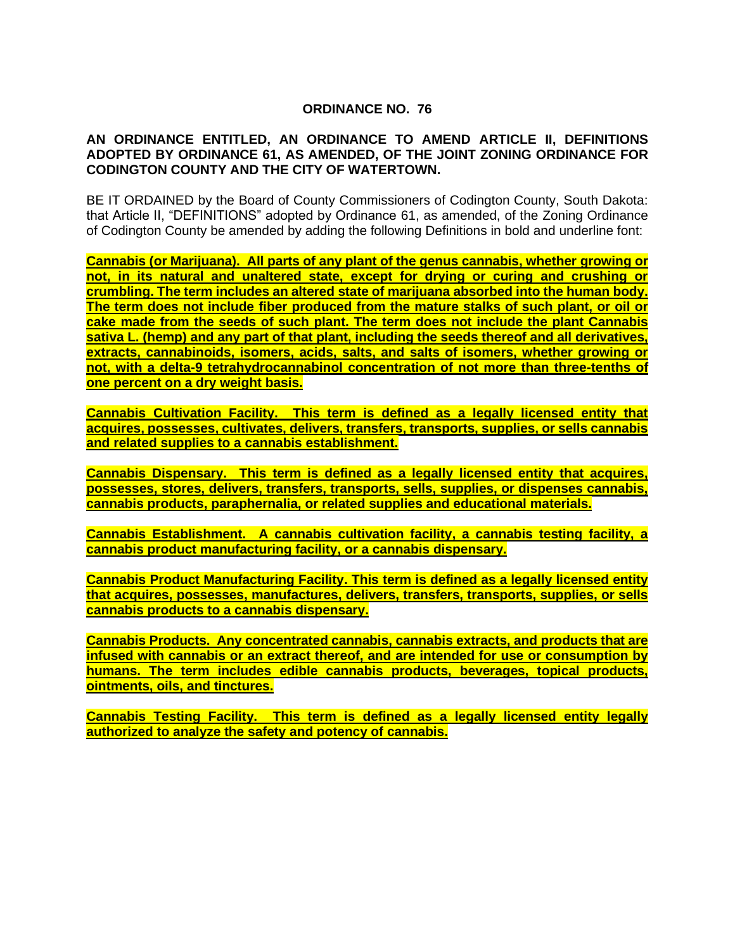## **ORDINANCE NO. 76**

## **AN ORDINANCE ENTITLED, AN ORDINANCE TO AMEND ARTICLE II, DEFINITIONS ADOPTED BY ORDINANCE 61, AS AMENDED, OF THE JOINT ZONING ORDINANCE FOR CODINGTON COUNTY AND THE CITY OF WATERTOWN.**

BE IT ORDAINED by the Board of County Commissioners of Codington County, South Dakota: that Article II, "DEFINITIONS" adopted by Ordinance 61, as amended, of the Zoning Ordinance of Codington County be amended by adding the following Definitions in bold and underline font:

**Cannabis (or Marijuana). All parts of any plant of the genus cannabis, whether growing or not, in its natural and unaltered state, except for drying or curing and crushing or crumbling. The term includes an altered state of marijuana absorbed into the human body. The term does not include fiber produced from the mature stalks of such plant, or oil or cake made from the seeds of such plant. The term does not include the plant Cannabis sativa L. (hemp) and any part of that plant, including the seeds thereof and all derivatives, extracts, cannabinoids, isomers, acids, salts, and salts of isomers, whether growing or not, with a delta-9 tetrahydrocannabinol concentration of not more than three-tenths of one percent on a dry weight basis.**

**Cannabis Cultivation Facility. This term is defined as a legally licensed entity that acquires, possesses, cultivates, delivers, transfers, transports, supplies, or sells cannabis and related supplies to a cannabis establishment.**

**Cannabis Dispensary. This term is defined as a legally licensed entity that acquires, possesses, stores, delivers, transfers, transports, sells, supplies, or dispenses cannabis, cannabis products, paraphernalia, or related supplies and educational materials.**

**Cannabis Establishment. A cannabis cultivation facility, a cannabis testing facility, a cannabis product manufacturing facility, or a cannabis dispensary.**

**Cannabis Product Manufacturing Facility. This term is defined as a legally licensed entity that acquires, possesses, manufactures, delivers, transfers, transports, supplies, or sells cannabis products to a cannabis dispensary.**

**Cannabis Products. Any concentrated cannabis, cannabis extracts, and products that are infused with cannabis or an extract thereof, and are intended for use or consumption by humans. The term includes edible cannabis products, beverages, topical products, ointments, oils, and tinctures.**

**Cannabis Testing Facility. This term is defined as a legally licensed entity legally authorized to analyze the safety and potency of cannabis.**